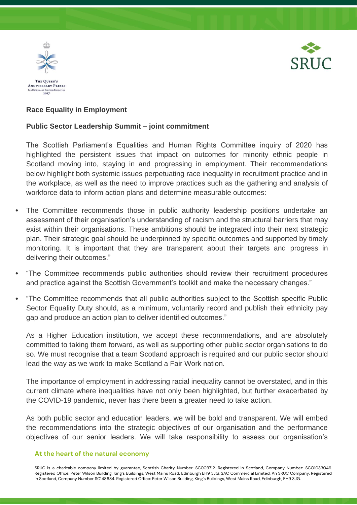



## **Race Equality in Employment**

## **Public Sector Leadership Summit – joint commitment**

The Scottish Parliament's Equalities and Human Rights Committee inquiry of 2020 has highlighted the persistent issues that impact on outcomes for minority ethnic people in Scotland moving into, staying in and progressing in employment. Their recommendations below highlight both systemic issues perpetuating race inequality in recruitment practice and in the workplace, as well as the need to improve practices such as the gathering and analysis of workforce data to inform action plans and determine measurable outcomes:

- The Committee recommends those in public authority leadership positions undertake an assessment of their organisation's understanding of racism and the structural barriers that may exist within their organisations. These ambitions should be integrated into their next strategic plan. Their strategic goal should be underpinned by specific outcomes and supported by timely monitoring. It is important that they are transparent about their targets and progress in delivering their outcomes."
- "The Committee recommends public authorities should review their recruitment procedures and practice against the Scottish Government's toolkit and make the necessary changes."
- "The Committee recommends that all public authorities subject to the Scottish specific Public Sector Equality Duty should, as a minimum, voluntarily record and publish their ethnicity pay gap and produce an action plan to deliver identified outcomes."

As a Higher Education institution, we accept these recommendations, and are absolutely committed to taking them forward, as well as supporting other public sector organisations to do so. We must recognise that a team Scotland approach is required and our public sector should lead the way as we work to make Scotland a Fair Work nation.

The importance of employment in addressing racial inequality cannot be overstated, and in this current climate where inequalities have not only been highlighted, but further exacerbated by the COVID-19 pandemic, never has there been a greater need to take action.

As both public sector and education leaders, we will be bold and transparent. We will embed the recommendations into the strategic objectives of our organisation and the performance objectives of our senior leaders. We will take responsibility to assess our organisation's

## **At the heart of the natural economy**

SRUC is a charitable company limited by guarantee, Scottish Charity Number: SC003712. Registered in Scotland, Company Number: SCO1033046. Registered Office: Peter Wilson Building, King's Buildings, West Mains Road, Edinburgh EH9 3JG. SAC Commercial Limited. An SRUC Company. Registered in Scotland, Company Number SC148684. Registered Office: Peter Wilson Building, King's Buildings, West Mains Road, Edinburgh, EH9 3JG.